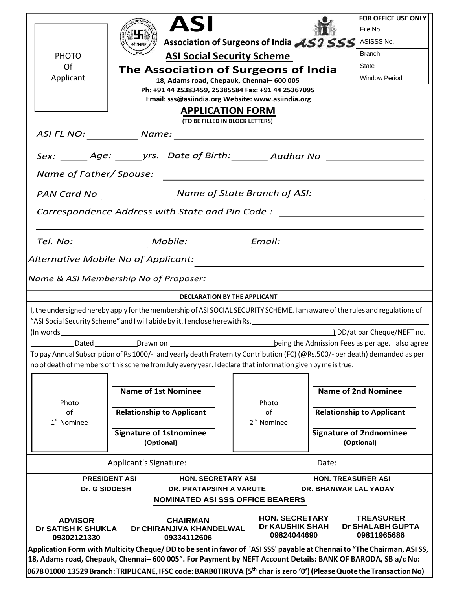|                                                                                                                                                                                                                                                   | <b>ASI</b>                                                                                                                                                                                                                                 |                                          | <b>FOR OFFICE USE ONLY</b>                        |  |  |  |
|---------------------------------------------------------------------------------------------------------------------------------------------------------------------------------------------------------------------------------------------------|--------------------------------------------------------------------------------------------------------------------------------------------------------------------------------------------------------------------------------------------|------------------------------------------|---------------------------------------------------|--|--|--|
|                                                                                                                                                                                                                                                   |                                                                                                                                                                                                                                            |                                          | File No.                                          |  |  |  |
|                                                                                                                                                                                                                                                   | वयं सेवामहे                                                                                                                                                                                                                                | Association of Surgeons of India ASJ SSS | ASISSS No.                                        |  |  |  |
| <b>PHOTO</b>                                                                                                                                                                                                                                      | <b>ASI Social Security Scheme</b>                                                                                                                                                                                                          |                                          | Branch                                            |  |  |  |
| Of                                                                                                                                                                                                                                                | The Association of Surgeons of India                                                                                                                                                                                                       |                                          | State                                             |  |  |  |
| Applicant                                                                                                                                                                                                                                         | 18, Adams road, Chepauk, Chennai-600 005                                                                                                                                                                                                   |                                          | <b>Window Period</b>                              |  |  |  |
| Ph: +91 44 25383459, 25385584 Fax: +91 44 25367095<br>Email: sss@asiindia.org Website: www.asiindia.org                                                                                                                                           |                                                                                                                                                                                                                                            |                                          |                                                   |  |  |  |
| <b>APPLICATION FORM</b>                                                                                                                                                                                                                           |                                                                                                                                                                                                                                            |                                          |                                                   |  |  |  |
| (TO BE FILLED IN BLOCK LETTERS)                                                                                                                                                                                                                   |                                                                                                                                                                                                                                            |                                          |                                                   |  |  |  |
|                                                                                                                                                                                                                                                   |                                                                                                                                                                                                                                            |                                          |                                                   |  |  |  |
|                                                                                                                                                                                                                                                   | Sex: _______ Age: ______ yrs. Date of Birth: ________ Aadhar No ________________                                                                                                                                                           |                                          |                                                   |  |  |  |
|                                                                                                                                                                                                                                                   |                                                                                                                                                                                                                                            |                                          |                                                   |  |  |  |
| PAN Card No North Case Name of State Branch of ASI: Name of State Branch of ASI:                                                                                                                                                                  |                                                                                                                                                                                                                                            |                                          |                                                   |  |  |  |
|                                                                                                                                                                                                                                                   |                                                                                                                                                                                                                                            |                                          |                                                   |  |  |  |
| Correspondence Address with State and Pin Code: ________________________________                                                                                                                                                                  |                                                                                                                                                                                                                                            |                                          |                                                   |  |  |  |
|                                                                                                                                                                                                                                                   |                                                                                                                                                                                                                                            |                                          |                                                   |  |  |  |
| Tel. No: __________________ Mobile:______________Email: ________________________                                                                                                                                                                  |                                                                                                                                                                                                                                            |                                          |                                                   |  |  |  |
|                                                                                                                                                                                                                                                   | Alternative Mobile No of Applicant:                                                                                                                                                                                                        |                                          |                                                   |  |  |  |
|                                                                                                                                                                                                                                                   | Name & ASI Membership No of Proposer:                                                                                                                                                                                                      |                                          |                                                   |  |  |  |
|                                                                                                                                                                                                                                                   |                                                                                                                                                                                                                                            |                                          |                                                   |  |  |  |
| DECLARATION BY THE APPLICANT                                                                                                                                                                                                                      |                                                                                                                                                                                                                                            |                                          |                                                   |  |  |  |
| I, the undersigned hereby apply for the membership of ASI SOCIAL SECURITY SCHEME. I am aware of the rules and regulations of<br>"ASI Social Security Scheme" and I will abide by it. I enclose herewith Rs. _______________________               |                                                                                                                                                                                                                                            |                                          |                                                   |  |  |  |
|                                                                                                                                                                                                                                                   |                                                                                                                                                                                                                                            |                                          | DD/at par Cheque/NEFT no.                         |  |  |  |
| Dated                                                                                                                                                                                                                                             |                                                                                                                                                                                                                                            |                                          | being the Admission Fees as per age. I also agree |  |  |  |
|                                                                                                                                                                                                                                                   | To pay Annual Subscription of Rs 1000/- and yearly death Fraternity Contribution (FC) (@Rs.500/- per death) demanded as per<br>no of death of members of this scheme from July every year. I declare that information given by me is true. |                                          |                                                   |  |  |  |
|                                                                                                                                                                                                                                                   |                                                                                                                                                                                                                                            |                                          |                                                   |  |  |  |
|                                                                                                                                                                                                                                                   | <b>Name of 1st Nominee</b>                                                                                                                                                                                                                 |                                          | <b>Name of 2nd Nominee</b>                        |  |  |  |
| Photo                                                                                                                                                                                                                                             |                                                                                                                                                                                                                                            | Photo                                    |                                                   |  |  |  |
| of                                                                                                                                                                                                                                                | <b>Relationship to Applicant</b>                                                                                                                                                                                                           | of                                       | <b>Relationship to Applicant</b>                  |  |  |  |
| $1*$ Nominee                                                                                                                                                                                                                                      |                                                                                                                                                                                                                                            | 2 <sup>nd</sup> Nominee                  |                                                   |  |  |  |
|                                                                                                                                                                                                                                                   | <b>Signature of 1stnominee</b><br>(Optional)                                                                                                                                                                                               |                                          | <b>Signature of 2ndnominee</b><br>(Optional)      |  |  |  |
|                                                                                                                                                                                                                                                   |                                                                                                                                                                                                                                            |                                          |                                                   |  |  |  |
| Applicant's Signature:                                                                                                                                                                                                                            |                                                                                                                                                                                                                                            |                                          | Date:                                             |  |  |  |
|                                                                                                                                                                                                                                                   | <b>PRESIDENT ASI</b><br>HON. SECRETARY ASI                                                                                                                                                                                                 |                                          | <b>HON. TREASURER ASI</b>                         |  |  |  |
| Dr. G SIDDESH<br>DR. PRATAPSINH A VARUTE<br><b>DR. BHANWAR LAL YADAV</b>                                                                                                                                                                          |                                                                                                                                                                                                                                            |                                          |                                                   |  |  |  |
| <b>NOMINATED ASI SSS OFFICE BEARERS</b>                                                                                                                                                                                                           |                                                                                                                                                                                                                                            |                                          |                                                   |  |  |  |
| <b>HON. SECRETARY</b><br><b>TREASURER</b><br><b>ADVISOR</b><br><b>CHAIRMAN</b><br><b>Dr KAUSHIK SHAH</b><br>Dr SHALABH GUPTA<br><b>Dr SATISH K SHUKLA</b><br>Dr CHIRANJIVA KHANDELWAL<br>09824044690<br>09811965686<br>09302121330<br>09334112606 |                                                                                                                                                                                                                                            |                                          |                                                   |  |  |  |
|                                                                                                                                                                                                                                                   | Application Form with Multicity Cheque/DD to be sent in favor of 'ASI SSS' payable at Chennai to "The Chairman, ASI SS,                                                                                                                    |                                          |                                                   |  |  |  |
|                                                                                                                                                                                                                                                   | 18, Adams road, Chepauk, Chennai-600 005". For Payment by NEFT Account Details: BANK OF BARODA, SB a/c No:                                                                                                                                 |                                          |                                                   |  |  |  |
| 0678 01000 13529 Branch: TRIPLICANE, IFSC code: BARB0TIRUVA (5 <sup>th</sup> char is zero '0') (Please Quote the Transaction No)                                                                                                                  |                                                                                                                                                                                                                                            |                                          |                                                   |  |  |  |